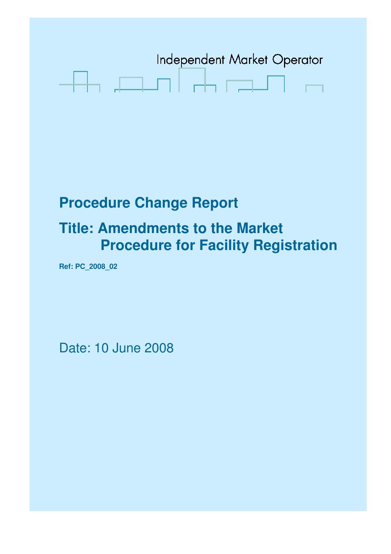

# **Procedure Change Report**

## **Title: Amendments to the Market Procedure for Facility Registration**

**Ref: PC\_2008\_02** 

Date: 10 June 2008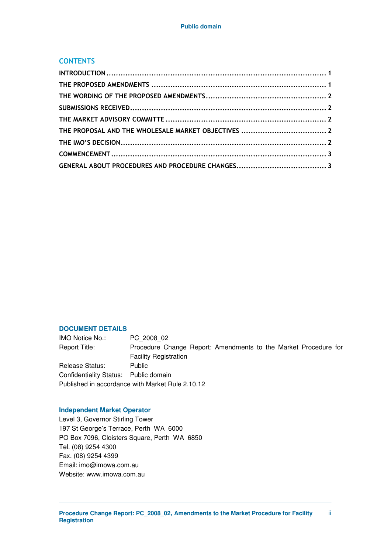#### **CONTENTS**

#### **DOCUMENT DETAILS**

IMO Notice No.: PC\_2008\_02 Report Title: Procedure Change Report: Amendments to the Market Procedure for Facility Registration Release Status: Public Confidentiality Status: Public domain Published in accordance with Market Rule 2.10.12

#### **Independent Market Operator**

Level 3, Governor Stirling Tower 197 St George's Terrace, Perth WA 6000 PO Box 7096, Cloisters Square, Perth WA 6850 Tel. (08) 9254 4300 Fax. (08) 9254 4399 Email: imo@imowa.com.au Website: www.imowa.com.au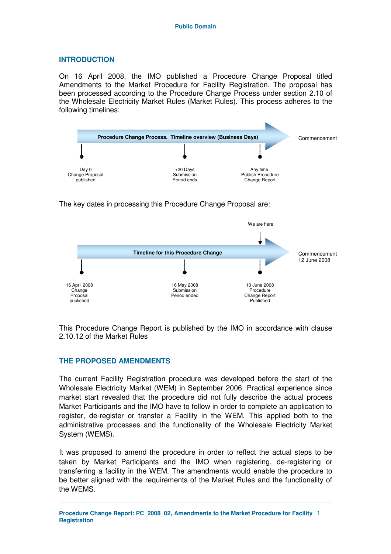#### **INTRODUCTION**

On 16 April 2008, the IMO published a Procedure Change Proposal titled Amendments to the Market Procedure for Facility Registration. The proposal has been processed according to the Procedure Change Process under section 2.10 of the Wholesale Electricity Market Rules (Market Rules). This process adheres to the following timelines:



The key dates in processing this Procedure Change Proposal are:



This Procedure Change Report is published by the IMO in accordance with clause 2.10.12 of the Market Rules

### **THE PROPOSED AMENDMENTS**

The current Facility Registration procedure was developed before the start of the Wholesale Electricity Market (WEM) in September 2006. Practical experience since market start revealed that the procedure did not fully describe the actual process Market Participants and the IMO have to follow in order to complete an application to register, de-register or transfer a Facility in the WEM. This applied both to the administrative processes and the functionality of the Wholesale Electricity Market System (WEMS).

It was proposed to amend the procedure in order to reflect the actual steps to be taken by Market Participants and the IMO when registering, de-registering or transferring a facility in the WEM. The amendments would enable the procedure to be better aligned with the requirements of the Market Rules and the functionality of the WEMS.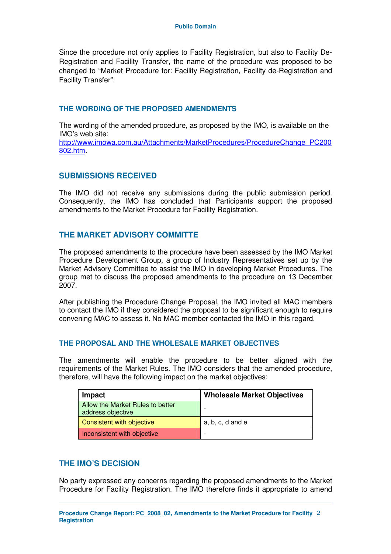Since the procedure not only applies to Facility Registration, but also to Facility De-Registration and Facility Transfer, the name of the procedure was proposed to be changed to "Market Procedure for: Facility Registration, Facility de-Registration and Facility Transfer".

#### **THE WORDING OF THE PROPOSED AMENDMENTS**

The wording of the amended procedure, as proposed by the IMO, is available on the IMO's web site:

http://www.imowa.com.au/Attachments/MarketProcedures/ProcedureChange\_PC200 802.htm.

### **SUBMISSIONS RECEIVED**

The IMO did not receive any submissions during the public submission period. Consequently, the IMO has concluded that Participants support the proposed amendments to the Market Procedure for Facility Registration.

### **THE MARKET ADVISORY COMMITTE**

The proposed amendments to the procedure have been assessed by the IMO Market Procedure Development Group, a group of Industry Representatives set up by the Market Advisory Committee to assist the IMO in developing Market Procedures. The group met to discuss the proposed amendments to the procedure on 13 December 2007.

After publishing the Procedure Change Proposal, the IMO invited all MAC members to contact the IMO if they considered the proposal to be significant enough to require convening MAC to assess it. No MAC member contacted the IMO in this regard.

#### **THE PROPOSAL AND THE WHOLESALE MARKET OBJECTIVES**

The amendments will enable the procedure to be better aligned with the requirements of the Market Rules. The IMO considers that the amended procedure, therefore, will have the following impact on the market objectives:

| Impact                                                | <b>Wholesale Market Objectives</b> |
|-------------------------------------------------------|------------------------------------|
| Allow the Market Rules to better<br>address objective | $\overline{\phantom{0}}$           |
| Consistent with objective                             | $a, b, c, d$ and $e$               |
| Inconsistent with objective                           | $\overline{\phantom{0}}$           |

### **THE IMO'S DECISION**

No party expressed any concerns regarding the proposed amendments to the Market Procedure for Facility Registration. The IMO therefore finds it appropriate to amend